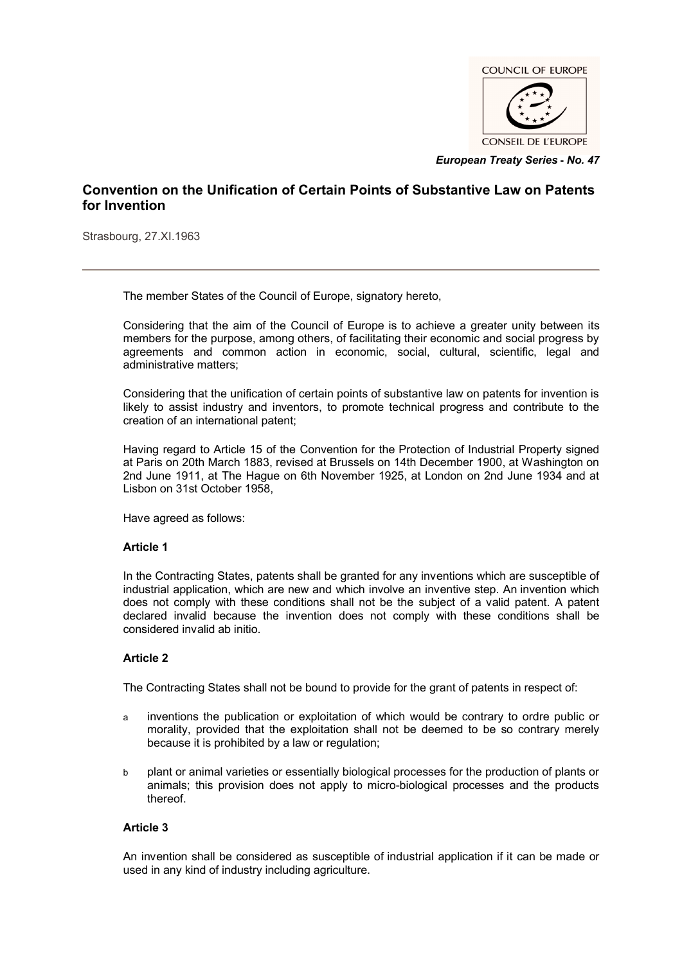

*European Treaty Series* **-** *No. 47*

# **Convention on the Unification of Certain Points of Substantive Law on Patents for Invention**

Strasbourg, 27.XI.1963

The member States of the Council of Europe, signatory hereto,

Considering that the aim of the Council of Europe is to achieve a greater unity between its members for the purpose, among others, of facilitating their economic and social progress by agreements and common action in economic, social, cultural, scientific, legal and administrative matters;

Considering that the unification of certain points of substantive law on patents for invention is likely to assist industry and inventors, to promote technical progress and contribute to the creation of an international patent;

Having regard to Article 15 of the Convention for the Protection of Industrial Property signed at Paris on 20th March 1883, revised at Brussels on 14th December 1900, at Washington on 2nd June 1911, at The Hague on 6th November 1925, at London on 2nd June 1934 and at Lisbon on 31st October 1958,

Have agreed as follows:

## **Article 1**

In the Contracting States, patents shall be granted for any inventions which are susceptible of industrial application, which are new and which involve an inventive step. An invention which does not comply with these conditions shall not be the subject of a valid patent. A patent declared invalid because the invention does not comply with these conditions shall be considered invalid ab initio.

## **Article 2**

The Contracting States shall not be bound to provide for the grant of patents in respect of:

- a inventions the publication or exploitation of which would be contrary to ordre public or morality, provided that the exploitation shall not be deemed to be so contrary merely because it is prohibited by a law or regulation;
- b plant or animal varieties or essentially biological processes for the production of plants or animals; this provision does not apply to micro-biological processes and the products thereof.

## **Article 3**

An invention shall be considered as susceptible of industrial application if it can be made or used in any kind of industry including agriculture.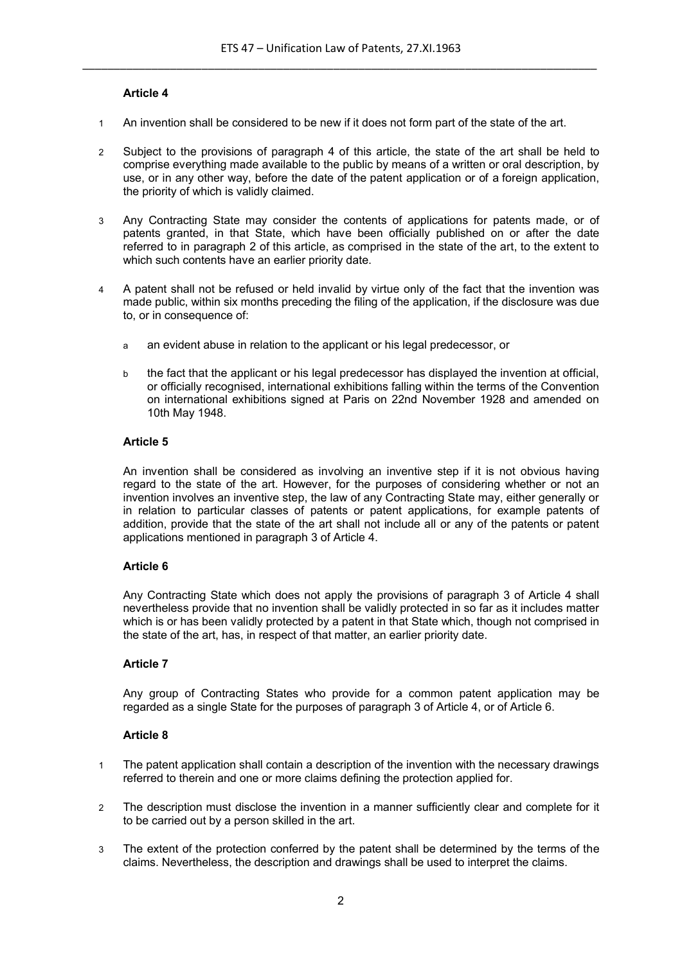# **Article 4**

- 1 An invention shall be considered to be new if it does not form part of the state of the art.
- 2 Subject to the provisions of paragraph 4 of this article, the state of the art shall be held to comprise everything made available to the public by means of a written or oral description, by use, or in any other way, before the date of the patent application or of a foreign application, the priority of which is validly claimed.
- 3 Any Contracting State may consider the contents of applications for patents made, or of patents granted, in that State, which have been officially published on or after the date referred to in paragraph 2 of this article, as comprised in the state of the art, to the extent to which such contents have an earlier priority date.
- 4 A patent shall not be refused or held invalid by virtue only of the fact that the invention was made public, within six months preceding the filing of the application, if the disclosure was due to, or in consequence of:
	- a an evident abuse in relation to the applicant or his legal predecessor, or
	- b the fact that the applicant or his legal predecessor has displayed the invention at official, or officially recognised, international exhibitions falling within the terms of the Convention on international exhibitions signed at Paris on 22nd November 1928 and amended on 10th May 1948.

#### **Article 5**

An invention shall be considered as involving an inventive step if it is not obvious having regard to the state of the art. However, for the purposes of considering whether or not an invention involves an inventive step, the law of any Contracting State may, either generally or in relation to particular classes of patents or patent applications, for example patents of addition, provide that the state of the art shall not include all or any of the patents or patent applications mentioned in paragraph 3 of Article 4.

## **Article 6**

Any Contracting State which does not apply the provisions of paragraph 3 of Article 4 shall nevertheless provide that no invention shall be validly protected in so far as it includes matter which is or has been validly protected by a patent in that State which, though not comprised in the state of the art, has, in respect of that matter, an earlier priority date.

## **Article 7**

Any group of Contracting States who provide for a common patent application may be regarded as a single State for the purposes of paragraph 3 of Article 4, or of Article 6.

## **Article 8**

- 1 The patent application shall contain a description of the invention with the necessary drawings referred to therein and one or more claims defining the protection applied for.
- 2 The description must disclose the invention in a manner sufficiently clear and complete for it to be carried out by a person skilled in the art.
- 3 The extent of the protection conferred by the patent shall be determined by the terms of the claims. Nevertheless, the description and drawings shall be used to interpret the claims.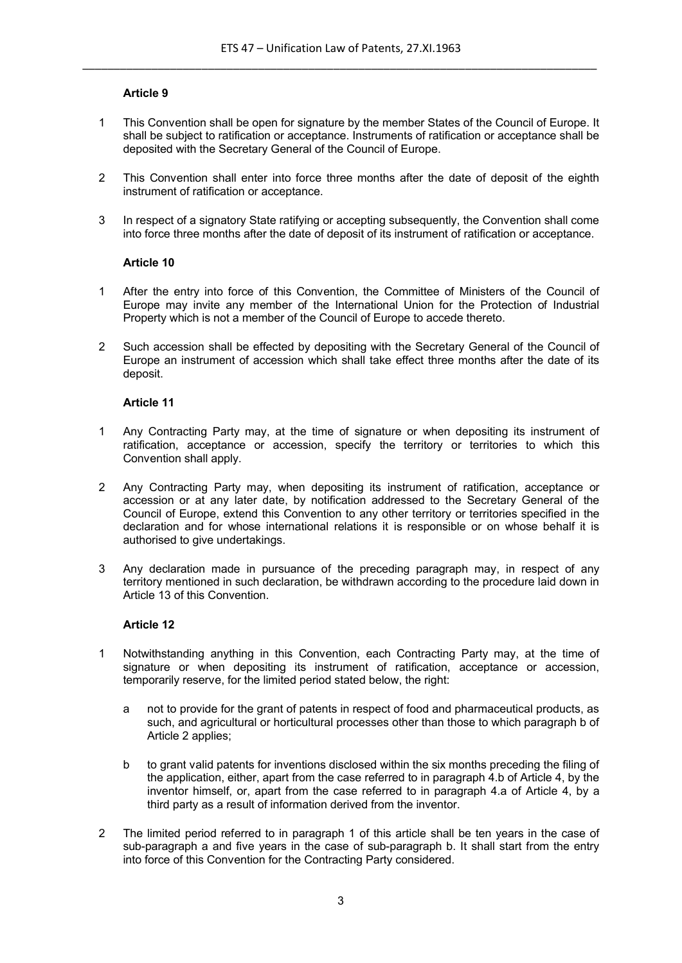## **Article 9**

- 1 This Convention shall be open for signature by the member States of the Council of Europe. It shall be subject to ratification or acceptance. Instruments of ratification or acceptance shall be deposited with the Secretary General of the Council of Europe.
- 2 This Convention shall enter into force three months after the date of deposit of the eighth instrument of ratification or acceptance.
- 3 In respect of a signatory State ratifying or accepting subsequently, the Convention shall come into force three months after the date of deposit of its instrument of ratification or acceptance.

## **Article 10**

- 1 After the entry into force of this Convention, the Committee of Ministers of the Council of Europe may invite any member of the International Union for the Protection of Industrial Property which is not a member of the Council of Europe to accede thereto.
- 2 Such accession shall be effected by depositing with the Secretary General of the Council of Europe an instrument of accession which shall take effect three months after the date of its deposit.

## **Article 11**

- 1 Any Contracting Party may, at the time of signature or when depositing its instrument of ratification, acceptance or accession, specify the territory or territories to which this Convention shall apply.
- 2 Any Contracting Party may, when depositing its instrument of ratification, acceptance or accession or at any later date, by notification addressed to the Secretary General of the Council of Europe, extend this Convention to any other territory or territories specified in the declaration and for whose international relations it is responsible or on whose behalf it is authorised to give undertakings.
- 3 Any declaration made in pursuance of the preceding paragraph may, in respect of any territory mentioned in such declaration, be withdrawn according to the procedure laid down in Article 13 of this Convention.

## **Article 12**

- 1 Notwithstanding anything in this Convention, each Contracting Party may, at the time of signature or when depositing its instrument of ratification, acceptance or accession, temporarily reserve, for the limited period stated below, the right:
	- a not to provide for the grant of patents in respect of food and pharmaceutical products, as such, and agricultural or horticultural processes other than those to which paragraph b of Article 2 applies;
	- b to grant valid patents for inventions disclosed within the six months preceding the filing of the application, either, apart from the case referred to in paragraph 4.b of Article 4, by the inventor himself, or, apart from the case referred to in paragraph 4.a of Article 4, by a third party as a result of information derived from the inventor.
- 2 The limited period referred to in paragraph 1 of this article shall be ten years in the case of sub-paragraph a and five years in the case of sub-paragraph b. It shall start from the entry into force of this Convention for the Contracting Party considered.